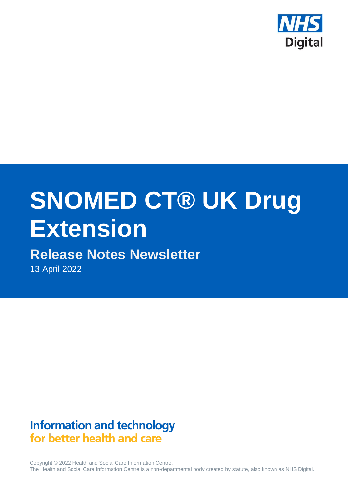

# **SNOMED CT® UK Drug Extension**

# **Release Notes Newsletter**

13 April 2022

# **Information and technology** for better health and care

Copyright © 2022 Health and Social Care Information Centre. The Health and Social Care Information Centre is a non-departmental body created by statute, also known as NHS Digital.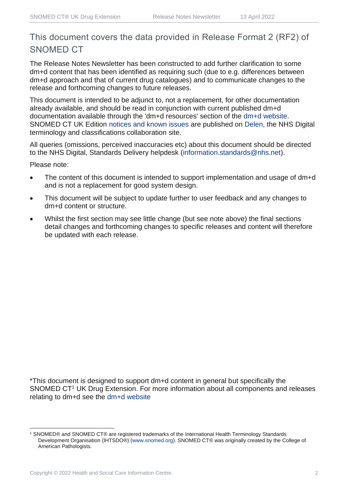# This document covers the data provided in Release Format 2 (RF2) of SNOMED CT

The Release Notes Newsletter has been constructed to add further clarification to some dm+d content that has been identified as requiring such (due to e.g. differences between dm+d approach and that of current drug catalogues) and to communicate changes to the release and forthcoming changes to future releases.

This document is intended to be adjunct to, not a replacement, for other documentation already available, and should be read in conjunction with current published dm+d documentation available through the 'dm+d resources' section of the [dm+d website.](https://www.nhsbsa.nhs.uk/pharmacies-gp-practices-and-appliance-contractors/dictionary-medicines-and-devices-dmd) SNOMED CT UK Edition [notices and known issues](https://hscic.kahootz.com/connect.ti/t_c_home/view?objectId=14224752) are published on [Delen,](https://hscic.kahootz.com/connect.ti/t_c_home) the NHS Digital terminology and classifications collaboration site.

All queries (omissions, perceived inaccuracies etc) about this document should be directed to the NHS Digital, Standards Delivery helpdesk [\(information.standards@nhs.net\)](mailto:information.standards@nhs.net).

Please note:

- The content of this document is intended to support implementation and usage of dm+d and is not a replacement for good system design.
- This document will be subject to update further to user feedback and any changes to dm+d content or structure.
- Whilst the first section may see little change (but see note above) the final sections detail changes and forthcoming changes to specific releases and content will therefore be updated with each release.

\*This document is designed to support dm+d content in general but specifically the SNOMED CT<sup>1</sup> UK Drug Extension. For more information about all components and releases relating to dm+d see the [dm+d website](https://www.nhsbsa.nhs.uk/pharmacies-gp-practices-and-appliance-contractors/dictionary-medicines-and-devices-dmd)

<sup>1</sup> SNOMED® and SNOMED CT® are registered trademarks of the International Health Terminology Standards Development Organisation (IHTSDO®) [\(www.snomed.org\)](http://www.snomed.org/). SNOMED CT® was originally created by the College of American Pathologists.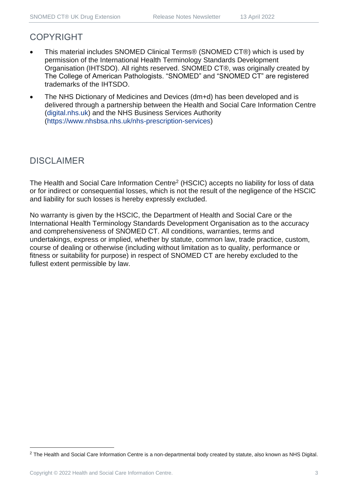## COPYRIGHT

- This material includes SNOMED Clinical Terms® (SNOMED CT®) which is used by permission of the International Health Terminology Standards Development Organisation (IHTSDO). All rights reserved. SNOMED CT®, was originally created by The College of American Pathologists. "SNOMED" and "SNOMED CT" are registered trademarks of the IHTSDO.
- The NHS Dictionary of Medicines and Devices (dm+d) has been developed and is delivered through a partnership between the Health and Social Care Information Centre [\(digital.nhs.uk\)](https://digital.nhs.uk/) and the NHS Business Services Authority [\(https://www.nhsbsa.nhs.uk/nhs-prescription-services\)](https://www.nhsbsa.nhs.uk/nhs-prescription-services)

# DISCLAIMER

The Health and Social Care Information Centre<sup>2</sup> (HSCIC) accepts no liability for loss of data or for indirect or consequential losses, which is not the result of the negligence of the HSCIC and liability for such losses is hereby expressly excluded.

No warranty is given by the HSCIC, the Department of Health and Social Care or the International Health Terminology Standards Development Organisation as to the accuracy and comprehensiveness of SNOMED CT. All conditions, warranties, terms and undertakings, express or implied, whether by statute, common law, trade practice, custom, course of dealing or otherwise (including without limitation as to quality, performance or fitness or suitability for purpose) in respect of SNOMED CT are hereby excluded to the fullest extent permissible by law.

<sup>&</sup>lt;sup>2</sup> The Health and Social Care Information Centre is a non-departmental body created by statute, also known as NHS Digital.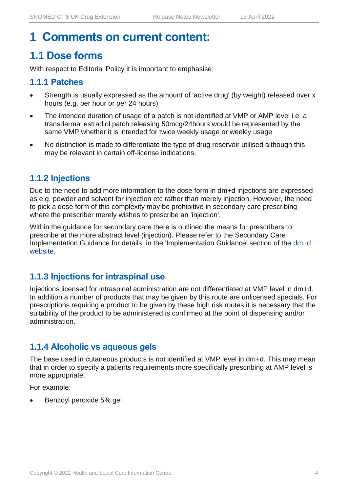# **1 Comments on current content:**

# **1.1 Dose forms**

With respect to Editorial Policy it is important to emphasise:

#### **1.1.1 Patches**

- Strength is usually expressed as the amount of 'active drug' (by weight) released over x hours (e.g. per hour or per 24 hours)
- The intended duration of usage of a patch is not identified at VMP or AMP level i.e. a transdermal estradiol patch releasing 50mcg/24hours would be represented by the same VMP whether it is intended for twice weekly usage or weekly usage
- No distinction is made to differentiate the type of drug reservoir utilised although this may be relevant in certain off-license indications.

## **1.1.2 Injections**

Due to the need to add more information to the dose form in dm+d injections are expressed as e.g. powder and solvent for injection etc rather than merely injection. However, the need to pick a dose form of this complexity may be prohibitive in secondary care prescribing where the prescriber merely wishes to prescribe an 'injection'.

Within the guidance for secondary care there is outlined the means for prescribers to prescribe at the more abstract level (injection). Please refer to the Secondary Care Implementation Guidance for details, in the 'Implementation Guidance' section of the [dm+d](https://www.nhsbsa.nhs.uk/pharmacies-gp-practices-and-appliance-contractors/dictionary-medicines-and-devices-dmd)  [website.](https://www.nhsbsa.nhs.uk/pharmacies-gp-practices-and-appliance-contractors/dictionary-medicines-and-devices-dmd)

#### **1.1.3 Injections for intraspinal use**

Injections licensed for intraspinal administration are not differentiated at VMP level in dm+d. In addition a number of products that may be given by this route are unlicensed specials. For prescriptions requiring a product to be given by these high risk routes it is necessary that the suitability of the product to be administered is confirmed at the point of dispensing and/or administration.

## **1.1.4 Alcoholic vs aqueous gels**

The base used in cutaneous products is not identified at VMP level in dm+d. This may mean that in order to specify a patients requirements more specifically prescribing at AMP level is more appropriate.

For example:

• Benzoyl peroxide 5% gel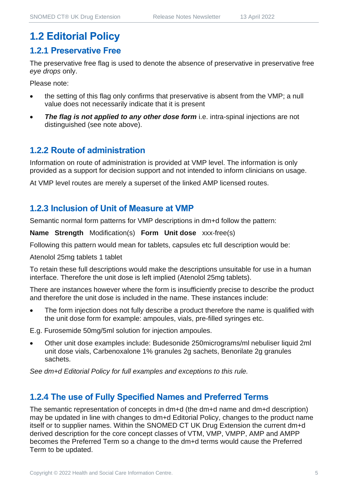# **1.2 Editorial Policy**

#### **1.2.1 Preservative Free**

The preservative free flag is used to denote the absence of preservative in preservative free *eye drops* only.

Please note:

- the setting of this flag only confirms that preservative is absent from the VMP; a null value does not necessarily indicate that it is present
- **The flag is not applied to any other dose form** i.e. intra-spinal injections are not distinguished (see note above).

#### **1.2.2 Route of administration**

Information on route of administration is provided at VMP level. The information is only provided as a support for decision support and not intended to inform clinicians on usage.

At VMP level routes are merely a superset of the linked AMP licensed routes.

#### **1.2.3 Inclusion of Unit of Measure at VMP**

Semantic normal form patterns for VMP descriptions in dm+d follow the pattern:

**Name Strength** Modification(s) **Form Unit dose** xxx-free(s)

Following this pattern would mean for tablets, capsules etc full description would be:

Atenolol 25mg tablets 1 tablet

To retain these full descriptions would make the descriptions unsuitable for use in a human interface. Therefore the unit dose is left implied (Atenolol 25mg tablets).

There are instances however where the form is insufficiently precise to describe the product and therefore the unit dose is included in the name. These instances include:

The form injection does not fully describe a product therefore the name is qualified with the unit dose form for example: ampoules, vials, pre-filled syringes etc.

E.g. Furosemide 50mg/5ml solution for injection ampoules.

• Other unit dose examples include: Budesonide 250micrograms/ml nebuliser liquid 2ml unit dose vials, Carbenoxalone 1% granules 2g sachets, Benorilate 2g granules sachets.

*See dm+d Editorial Policy for full examples and exceptions to this rule.*

#### **1.2.4 The use of Fully Specified Names and Preferred Terms**

The semantic representation of concepts in dm+d (the dm+d name and dm+d description) may be updated in line with changes to dm+d Editorial Policy, changes to the product name itself or to supplier names. Within the SNOMED CT UK Drug Extension the current dm+d derived description for the core concept classes of VTM, VMP, VMPP, AMP and AMPP becomes the Preferred Term so a change to the dm+d terms would cause the Preferred Term to be updated.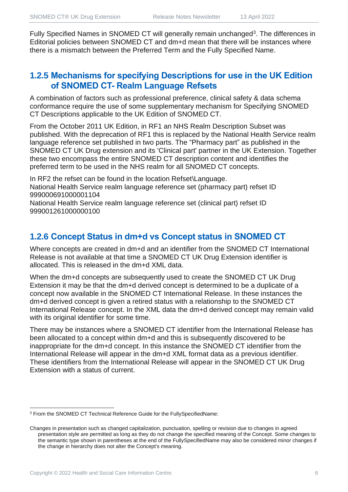Fully Specified Names in SNOMED CT will generally remain unchanged<sup>3</sup>. The differences in Editorial policies between SNOMED CT and dm+d mean that there will be instances where there is a mismatch between the Preferred Term and the Fully Specified Name.

#### **1.2.5 Mechanisms for specifying Descriptions for use in the UK Edition of SNOMED CT- Realm Language Refsets**

A combination of factors such as professional preference, clinical safety & data schema conformance require the use of some supplementary mechanism for Specifying SNOMED CT Descriptions applicable to the UK Edition of SNOMED CT.

From the October 2011 UK Edition, in RF1 an NHS Realm Description Subset was published. With the deprecation of RF1 this is replaced by the National Health Service realm language reference set published in two parts. The "Pharmacy part" as published in the SNOMED CT UK Drug extension and its 'Clinical part' partner in the UK Extension. Together these two encompass the entire SNOMED CT description content and identifies the preferred term to be used in the NHS realm for all SNOMED CT concepts.

In RF2 the refset can be found in the location Refset\Language. National Health Service realm language reference set (pharmacy part) refset ID 999000691000001104

National Health Service realm language reference set (clinical part) refset ID 999001261000000100

## **1.2.6 Concept Status in dm+d vs Concept status in SNOMED CT**

Where concepts are created in dm+d and an identifier from the SNOMED CT International Release is not available at that time a SNOMED CT UK Drug Extension identifier is allocated. This is released in the dm+d XML data.

When the dm+d concepts are subsequently used to create the SNOMED CT UK Drug Extension it may be that the dm+d derived concept is determined to be a duplicate of a concept now available in the SNOMED CT International Release. In these instances the dm+d derived concept is given a retired status with a relationship to the SNOMED CT International Release concept. In the XML data the dm+d derived concept may remain valid with its original identifier for some time.

There may be instances where a SNOMED CT identifier from the International Release has been allocated to a concept within dm+d and this is subsequently discovered to be inappropriate for the dm+d concept. In this instance the SNOMED CT identifier from the International Release will appear in the dm+d XML format data as a previous identifier. These identifiers from the International Release will appear in the SNOMED CT UK Drug Extension with a status of current.

<sup>3</sup> From the SNOMED CT Technical Reference Guide for the FullySpecifiedName:

Changes in presentation such as changed capitalization, punctuation, spelling or revision due to changes in agreed presentation style are permitted as long as they do not change the specified meaning of the Concept. Some changes to the semantic type shown in parentheses at the end of the FullySpecifiedName may also be considered minor changes if the change in hierarchy does not alter the Concept's meaning.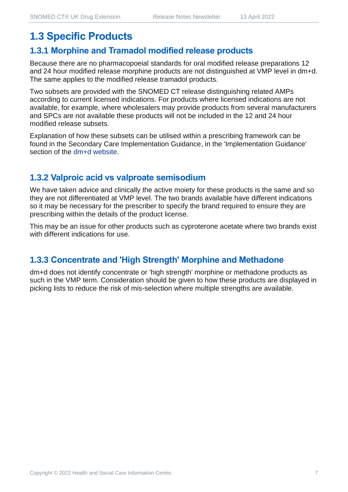# **1.3 Specific Products**

#### **1.3.1 Morphine and Tramadol modified release products**

Because there are no pharmacopoeial standards for oral modified release preparations 12 and 24 hour modified release morphine products are not distinguished at VMP level in dm+d. The same applies to the modified release tramadol products.

Two subsets are provided with the SNOMED CT release distinguishing related AMPs according to current licensed indications. For products where licensed indications are not available, for example, where wholesalers may provide products from several manufacturers and SPCs are not available these products will not be included in the 12 and 24 hour modified release subsets.

Explanation of how these subsets can be utilised within a prescribing framework can be found in the Secondary Care Implementation Guidance, in the 'Implementation Guidance' section of the [dm+d website.](https://www.nhsbsa.nhs.uk/pharmacies-gp-practices-and-appliance-contractors/dictionary-medicines-and-devices-dmd)

#### **1.3.2 Valproic acid vs valproate semisodium**

We have taken advice and clinically the active moiety for these products is the same and so they are not differentiated at VMP level. The two brands available have different indications so it may be necessary for the prescriber to specify the brand required to ensure they are prescribing within the details of the product license.

This may be an issue for other products such as cyproterone acetate where two brands exist with different indications for use.

#### **1.3.3 Concentrate and 'High Strength' Morphine and Methadone**

dm+d does not identify concentrate or 'high strength' morphine or methadone products as such in the VMP term. Consideration should be given to how these products are displayed in picking lists to reduce the risk of mis-selection where multiple strengths are available.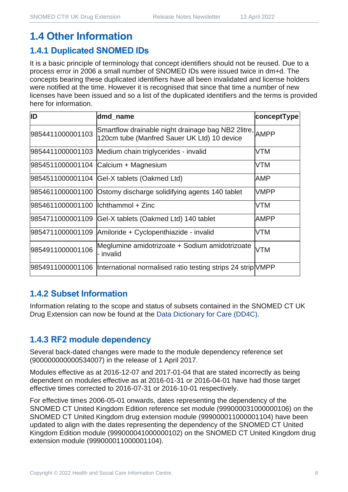# **1.4 Other Information**

## **1.4.1 Duplicated SNOMED IDs**

It is a basic principle of terminology that concept identifiers should not be reused. Due to a process error in 2006 a small number of SNOMED IDs were issued twice in dm+d. The concepts bearing these duplicated identifiers have all been invalidated and license holders were notified at the time. However it is recognised that since that time a number of new licenses have been issued and so a list of the duplicated identifiers and the terms is provided here for information.

| ID                                  | dmd_name                                                                                               | conceptType |
|-------------------------------------|--------------------------------------------------------------------------------------------------------|-------------|
| 9854411000001103                    | Smartflow drainable night drainage bag NB2 2litre, AMPP<br>120cm tube (Manfred Sauer UK Ltd) 10 device |             |
|                                     | 9854411000001103 Medium chain triglycerides - invalid                                                  | <b>VTM</b>  |
|                                     | 9854511000001104 Calcium + Magnesium                                                                   | <b>VTM</b>  |
|                                     | 9854511000001104 Gel-X tablets (Oakmed Ltd)                                                            | AMP         |
|                                     | 9854611000001100 Ostomy discharge solidifying agents 140 tablet                                        | <b>VMPP</b> |
| 9854611000001100  lchthammol + Zinc |                                                                                                        | <b>VTM</b>  |
| 9854711000001109                    | Gel-X tablets (Oakmed Ltd) 140 tablet                                                                  | <b>AMPP</b> |
|                                     | 9854711000001109 Amiloride + Cyclopenthiazide - invalid                                                | <b>VTM</b>  |
| 9854911000001106                    | Meglumine amidotrizoate + Sodium amidotrizoate<br>- invalid                                            | <b>VTM</b>  |
|                                     | 9854911000001106  International normalised ratio testing strips 24 strip VMPP                          |             |

## **1.4.2 Subset Information**

Information relating to the scope and status of subsets contained in the SNOMED CT UK Drug Extension can now be found at the [Data Dictionary for Care \(DD4C\).](https://dd4c.digital.nhs.uk/dd4c/)

## **1.4.3 RF2 module dependency**

Several back-dated changes were made to the module dependency reference set (900000000000534007) in the release of 1 April 2017.

Modules effective as at 2016-12-07 and 2017-01-04 that are stated incorrectly as being dependent on modules effective as at 2016-01-31 or 2016-04-01 have had those target effective times corrected to 2016-07-31 or 2016-10-01 respectively.

For effective times 2006-05-01 onwards, dates representing the dependency of the SNOMED CT United Kingdom Edition reference set module (999000031000000106) on the SNOMED CT United Kingdom drug extension module (999000011000001104) have been updated to align with the dates representing the dependency of the SNOMED CT United Kingdom Edition module (999000041000000102) on the SNOMED CT United Kingdom drug extension module (999000011000001104).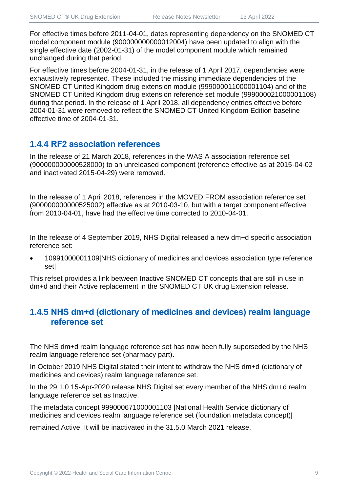For effective times before 2011-04-01, dates representing dependency on the SNOMED CT model component module (900000000000012004) have been updated to align with the single effective date (2002-01-31) of the model component module which remained unchanged during that period.

For effective times before 2004-01-31, in the release of 1 April 2017, dependencies were exhaustively represented. These included the missing immediate dependencies of the SNOMED CT United Kingdom drug extension module (999000011000001104) and of the SNOMED CT United Kingdom drug extension reference set module (999000021000001108) during that period. In the release of 1 April 2018, all dependency entries effective before 2004-01-31 were removed to reflect the SNOMED CT United Kingdom Edition baseline effective time of 2004-01-31.

#### **1.4.4 RF2 association references**

In the release of 21 March 2018, references in the WAS A association reference set (900000000000528000) to an unreleased component (reference effective as at 2015-04-02 and inactivated 2015-04-29) were removed.

In the release of 1 April 2018, references in the MOVED FROM association reference set (900000000000525002) effective as at 2010-03-10, but with a target component effective from 2010-04-01, have had the effective time corrected to 2010-04-01.

In the release of 4 September 2019, NHS Digital released a new dm+d specific association reference set:

• 10991000001109|NHS dictionary of medicines and devices association type reference set|

This refset provides a link between Inactive SNOMED CT concepts that are still in use in dm+d and their Active replacement in the SNOMED CT UK drug Extension release.

## **1.4.5 NHS dm+d (dictionary of medicines and devices) realm language reference set**

The NHS dm+d realm language reference set has now been fully superseded by the NHS realm language reference set (pharmacy part).

In October 2019 NHS Digital stated their intent to withdraw the NHS dm+d (dictionary of medicines and devices) realm language reference set.

In the 29.1.0 15-Apr-2020 release NHS Digital set every member of the NHS dm+d realm language reference set as Inactive.

The metadata concept 999000671000001103 |National Health Service dictionary of medicines and devices realm language reference set (foundation metadata concept)|

remained Active. It will be inactivated in the 31.5.0 March 2021 release.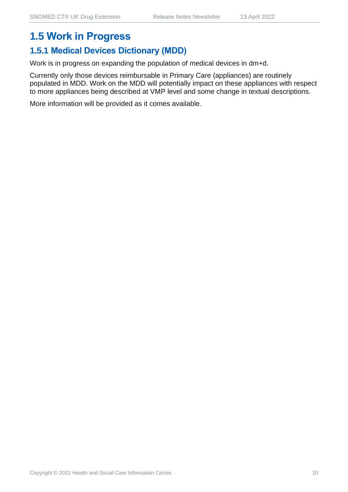# **1.5.1 Medical Devices Dictionary (MDD)**

Work is in progress on expanding the population of medical devices in dm+d.

Currently only those devices reimbursable in Primary Care (appliances) are routinely populated in MDD. Work on the MDD will potentially impact on these appliances with respect to more appliances being described at VMP level and some change in textual descriptions.

More information will be provided as it comes available.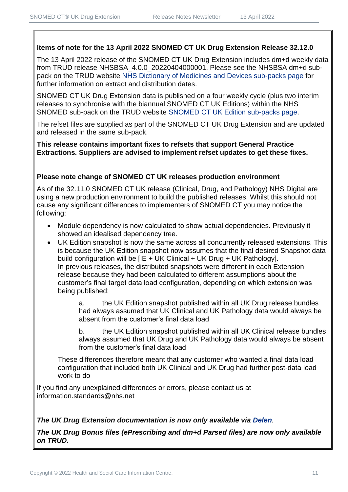#### **Items of note for the 13 April 2022 SNOMED CT UK Drug Extension Release 32.12.0**

The 13 April 2022 release of the SNOMED CT UK Drug Extension includes dm+d weekly data from TRUD release NHSBSA 4.0.0 20220404000001. Please see the NHSBSA dm+d subpack on the TRUD website [NHS Dictionary of Medicines and Devices sub-packs page](https://isd.digital.nhs.uk/trud3/user/guest/group/0/pack/6) for further information on extract and distribution dates.

SNOMED CT UK Drug Extension data is published on a four weekly cycle (plus two interim releases to synchronise with the biannual SNOMED CT UK Editions) within the NHS SNOMED sub-pack on the TRUD website [SNOMED CT UK Edition sub-packs page.](https://isd.digital.nhs.uk/trud3/user/guest/group/0/pack/26)

The refset files are supplied as part of the SNOMED CT UK Drug Extension and are updated and released in the same sub-pack.

**This release contains important fixes to refsets that support General Practice Extractions. Suppliers are advised to implement refset updates to get these fixes.** 

#### **Please note change of SNOMED CT UK releases production environment**

As of the 32.11.0 SNOMED CT UK release (Clinical, Drug, and Pathology) NHS Digital are using a new production environment to build the published releases. Whilst this should not cause any significant differences to implementers of SNOMED CT you may notice the following:

- Module dependency is now calculated to show actual dependencies. Previously it showed an idealised dependency tree.
- UK Edition snapshot is now the same across all concurrently released extensions. This is because the UK Edition snapshot now assumes that the final desired Snapshot data build configuration will be [IE + UK Clinical + UK Drug + UK Pathology]. In previous releases, the distributed snapshots were different in each Extension release because they had been calculated to different assumptions about the customer's final target data load configuration, depending on which extension was being published:

a. the UK Edition snapshot published within all UK Drug release bundles had always assumed that UK Clinical and UK Pathology data would always be absent from the customer's final data load

b. the UK Edition snapshot published within all UK Clinical release bundles always assumed that UK Drug and UK Pathology data would always be absent from the customer's final data load

These differences therefore meant that any customer who wanted a final data load configuration that included both UK Clinical and UK Drug had further post-data load work to do

If you find any unexplained differences or errors, please contact us at [information.standards@nhs.net](mailto:information.standards@nhs.net)

#### *The UK Drug Extension documentation is now only available via [Delen](https://hscic.kahootz.com/connect.ti/t_c_home/view?objectId=14540272).*

*The UK Drug Bonus files (ePrescribing and dm+d Parsed files) are now only available on TRUD.*